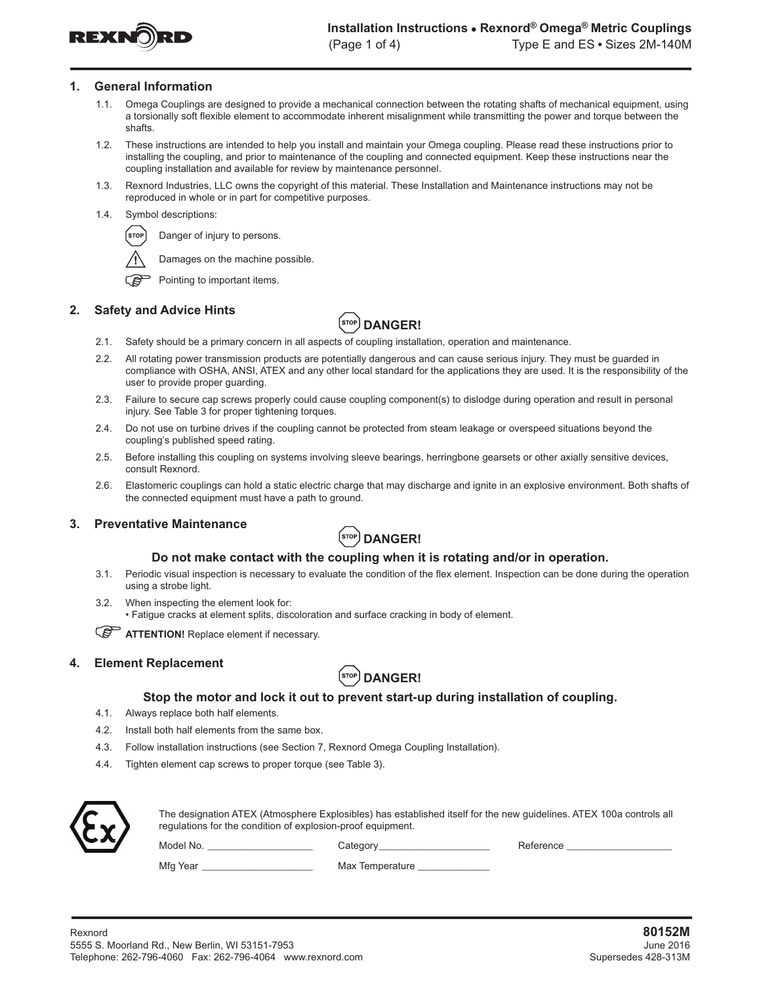

#### **1. General Information**

- 1.1. Omega Couplings are designed to provide a mechanical connection between the rotating shafts of mechanical equipment, using a torsionally soft flexible element to accommodate inherent misalignment while transmitting the power and torque between the shafts.
- 1.2. These instructions are intended to help you install and maintain your Omega coupling. Please read these instructions prior to installing the coupling, and prior to maintenance of the coupling and connected equipment. Keep these instructions near the coupling installation and available for review by maintenance personnel.
- 1.3. Rexnord Industries, LLC owns the copyright of this material. These Installation and Maintenance instructions may not be reproduced in whole or in part for competitive purposes.
- 1.4. Symbol descriptions:



Damages on the machine possible.



౧తె Pointing to important items.

## **2. Safety and Advice Hints**



- 2.1. Safety should be a primary concern in all aspects of coupling installation, operation and maintenance.
- 2.2. All rotating power transmission products are potentially dangerous and can cause serious injury. They must be guarded in compliance with OSHA, ANSI, ATEX and any other local standard for the applications they are used. It is the responsibility of the user to provide proper guarding.
- 2.3. Failure to secure cap screws properly could cause coupling component(s) to dislodge during operation and result in personal injury. See Table 3 for proper tightening torques.
- 2.4. Do not use on turbine drives if the coupling cannot be protected from steam leakage or overspeed situations beyond the coupling's published speed rating.
- 2.5. Before installing this coupling on systems involving sleeve bearings, herringbone gearsets or other axially sensitive devices, consult Rexnord.
- 2.6. Elastomeric couplings can hold a static electric charge that may discharge and ignite in an explosive environment. Both shafts of the connected equipment must have a path to ground.

## **3. Preventative Maintenance**



## **Do not make contact with the coupling when it is rotating and/or in operation.**

- 3.1. Periodic visual inspection is necessary to evaluate the condition of the flex element. Inspection can be done during the operation using a strobe light.
- 3.2. When inspecting the element look for: • Fatigue cracks at element splits, discoloration and surface cracking in body of element.

**ATTENTION!** Replace element if necessary.

## **4. Element Replacement**



## **Stop the motor and lock it out to prevent start-up during installation of coupling.**

- 4.1. Always replace both half elements.
- 4.2. Install both half elements from the same box.
- 4.3. Follow installation instructions (see Section 7, Rexnord Omega Coupling Installation).
- 4.4. Tighten element cap screws to proper torque (see Table 3).



The designation ATEX (Atmosphere Explosibles) has established itself for the new guidelines. ATEX 100a controls all regulations for the condition of explosion-proof equipment.

Model No. \_\_\_\_\_\_\_\_\_\_\_\_\_\_\_\_\_\_\_\_\_\_\_\_\_\_\_\_\_\_Category\_\_\_\_\_\_\_\_\_\_\_\_\_\_\_\_\_\_\_\_\_\_\_\_\_\_\_\_\_\_\_\_Reference \_

Mfg Year \_\_\_\_\_\_\_\_\_\_\_\_\_\_\_\_\_\_\_\_\_\_\_\_\_\_\_\_\_\_\_\_\_\_ Max Temperature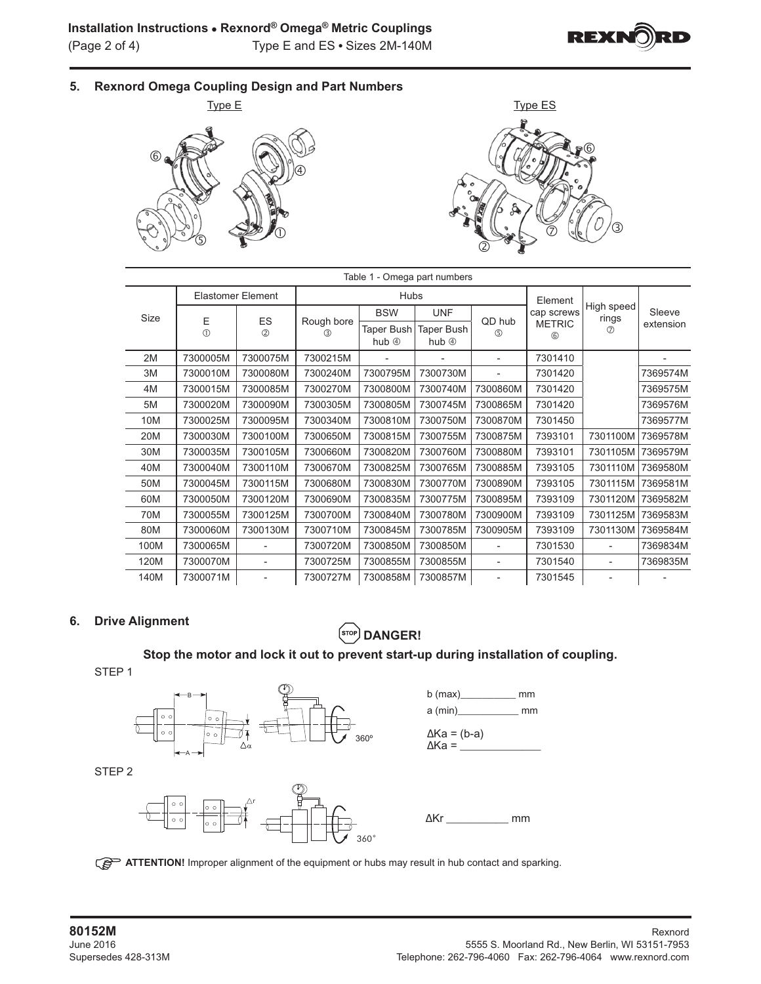

**5. Rexnord Omega Coupling Design and Part Numbers**





| Table 1 - Omega part numbers |                  |                          |                   |                                 |                                 |                          |                      |                     |           |  |  |  |
|------------------------------|------------------|--------------------------|-------------------|---------------------------------|---------------------------------|--------------------------|----------------------|---------------------|-----------|--|--|--|
|                              |                  | <b>Elastomer Element</b> |                   | <b>Hubs</b>                     |                                 | Element                  |                      |                     |           |  |  |  |
| Size                         |                  |                          |                   | <b>BSW</b>                      | <b>UNF</b>                      |                          | cap screws           | High speed<br>rings | Sleeve    |  |  |  |
|                              | E<br>$\circledD$ | ES<br>(2)                | Rough bore<br>(3) | <b>Taper Bush</b><br>hub $\Phi$ | <b>Taper Bush</b><br>hub $\Phi$ | QD hub<br>$\circledS$    | <b>METRIC</b><br>$6$ | $\circledcirc$      | extension |  |  |  |
| 2M                           | 7300005M         | 7300075M                 | 7300215M          |                                 |                                 | $\blacksquare$           | 7301410              |                     |           |  |  |  |
| 3M                           | 7300010M         | 7300080M                 | 7300240M          | 7300795M                        | 7300730M                        |                          | 7301420              |                     | 7369574M  |  |  |  |
| 4M                           | 7300015M         | 7300085M                 | 7300270M          | 7300800M                        | 7300740M                        | 7300860M                 | 7301420              |                     | 7369575M  |  |  |  |
| 5M                           | 7300020M         | 7300090M                 | 7300305M          | 7300805M                        | 7300745M                        | 7300865M                 | 7301420              |                     | 7369576M  |  |  |  |
| 10M                          | 7300025M         | 7300095M                 | 7300340M          | 7300810M                        | 7300750M                        | 7300870M                 | 7301450              |                     | 7369577M  |  |  |  |
| 20M                          | 7300030M         | 7300100M                 | 7300650M          | 7300815M                        | 7300755M                        | 7300875M                 | 7393101              | 7301100M            | 7369578M  |  |  |  |
| 30M                          | 7300035M         | 7300105M                 | 7300660M          | 7300820M                        | 7300760M                        | 7300880M                 | 7393101              | 7301105M            | 7369579M  |  |  |  |
| 40M                          | 7300040M         | 7300110M                 | 7300670M          | 7300825M                        | 7300765M                        | 7300885M                 | 7393105              | 7301110M            | 7369580M  |  |  |  |
| 50M                          | 7300045M         | 7300115M                 | 7300680M          | 7300830M                        | 7300770M                        | 7300890M                 | 7393105              | 7301115M            | 7369581M  |  |  |  |
| 60M                          | 7300050M         | 7300120M                 | 7300690M          | 7300835M                        | 7300775M                        | 7300895M                 | 7393109              | 7301120M            | 7369582M  |  |  |  |
| 70M                          | 7300055M         | 7300125M                 | 7300700M          | 7300840M                        | 7300780M                        | 7300900M                 | 7393109              | 7301125M            | 7369583M  |  |  |  |
| 80M                          | 7300060M         | 7300130M                 | 7300710M          | 7300845M                        | 7300785M                        | 7300905M                 | 7393109              | 7301130M            | 7369584M  |  |  |  |
| 100M                         | 7300065M         |                          | 7300720M          | 7300850M                        | 7300850M                        |                          | 7301530              |                     | 7369834M  |  |  |  |
| 120M                         | 7300070M         | $\overline{\phantom{a}}$ | 7300725M          | 7300855M                        | 7300855M                        | $\overline{\phantom{0}}$ | 7301540              | -                   | 7369835M  |  |  |  |
| 140M                         | 7300071M         | $\overline{\phantom{a}}$ | 7300727M          | 7300858M                        | 7300857M                        | $\overline{\phantom{a}}$ | 7301545              |                     |           |  |  |  |

## **6. Drive Alignment**

# $\left($ STOP) DANGER!

# **Stop the motor and lock it out to prevent start-up during installation of coupling.**

STEP 1



**ATTENTION!** Improper alignment of the equipment or hubs may result in hub contact and sparking.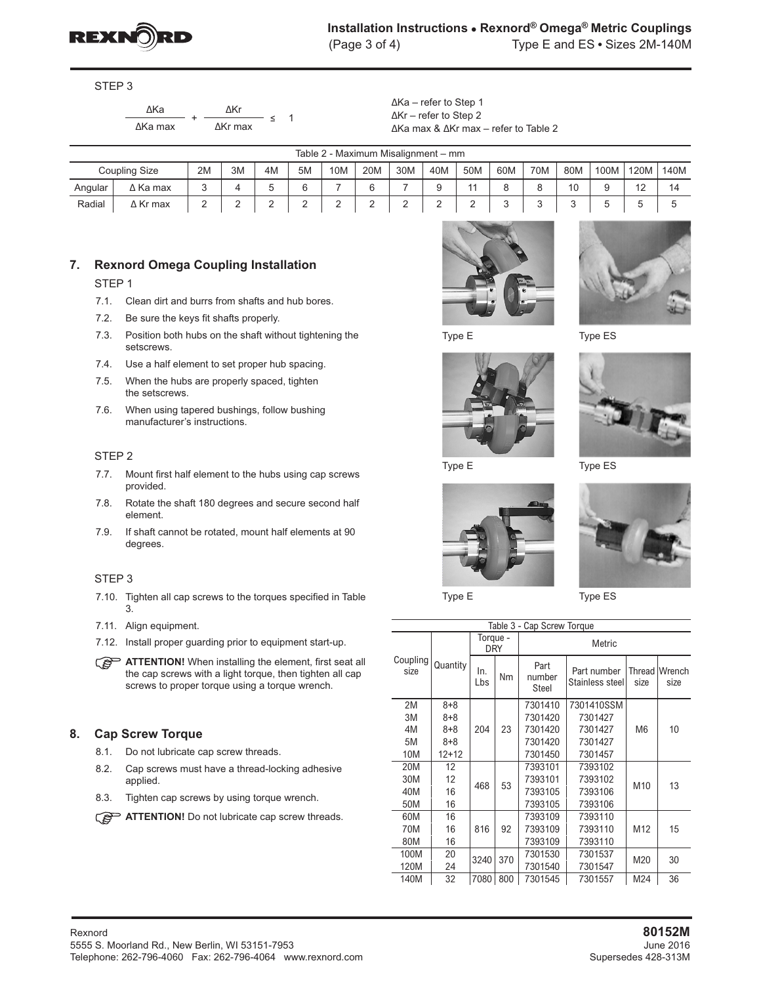

STEP 3

| ЛКа     | ΛKr             |
|---------|-----------------|
| ∆Ka max | $\Delta$ Kr max |

 $-$  ≤ 1

∆Ka – refer to Step 1 ∆Kr – refer to Step 2 ∆Ka max & ∆Kr max – refer to Table 2

| Table 2 - Maximum Misalignment - mm |                 |    |    |    |        |                 |     |     |        |     |        |        |     |      |               |        |
|-------------------------------------|-----------------|----|----|----|--------|-----------------|-----|-----|--------|-----|--------|--------|-----|------|---------------|--------|
| Coupling Size                       |                 | 2M | 3M | 4M | 5M     | 10M             | 20M | 30M | 40M    | 50M | 60M    | 70M    | 80M | 100M | 120M          | 140M   |
| Angular                             | $\Delta$ Ka max | J  |    | J  | ⌒<br>6 | -               | ∼   |     | u<br>o | 44  | ື      | u      | 10  | u    | $\sim$<br>ے ا | 14     |
| Radial                              | ∆ Kr max        | ∸  | -  | ∸  | ⌒<br>∸ | $\sqrt{2}$<br>∸ | ∸   | ∸   | -      | ∸   | ⌒<br>ັ | ◠<br>◡ | ◡   | ◡    | ັ             | $\sim$ |

## **7. Rexnord Omega Coupling Installation**

STEP 1

- 7.1. Clean dirt and burrs from shafts and hub bores.
- 7.2. Be sure the keys fit shafts properly.
- 7.3. Position both hubs on the shaft without tightening the setscrews.
- 7.4. Use a half element to set proper hub spacing.
- 7.5. When the hubs are properly spaced, tighten the setscrews.
- 7.6. When using tapered bushings, follow bushing manufacturer's instructions.

#### STEP 2

- 7.7. Mount first half element to the hubs using cap screws provided.
- 7.8. Rotate the shaft 180 degrees and secure second half element.
- 7.9. If shaft cannot be rotated, mount half elements at 90 degrees.

#### STEP 3

- 7.10. Tighten all cap screws to the torques specified in Table 3.
- 7.11. Align equipment.
- 7.12. Install proper guarding prior to equipment start-up.

## **8. Cap Screw Torque**

- 8.1. Do not lubricate cap screw threads.
- 8.2. Cap screws must have a thread-locking adhesive applied.
- 8.3. Tighten cap screws by using torque wrench.
- **ATTENTION!** Do not lubricate cap screw threads.











Type E Type ES



Type E Type ES

| Table 3 - Cap Screw Torque |          |                        |     |                                                           |            |                 |                |  |  |  |  |
|----------------------------|----------|------------------------|-----|-----------------------------------------------------------|------------|-----------------|----------------|--|--|--|--|
| Coupling<br>size           |          | Torque -<br><b>DRY</b> |     | Metric                                                    |            |                 |                |  |  |  |  |
|                            | Quantity | In.<br>Lbs             | Nm  | Part<br>Part number<br>number<br>Stainless steel<br>Steel |            | Thread<br>size  | Wrench<br>size |  |  |  |  |
| 2M                         | $8 + 8$  |                        |     | 7301410                                                   | 7301410SSM |                 |                |  |  |  |  |
| 3M                         | $8 + 8$  |                        |     | 7301420                                                   | 7301427    |                 |                |  |  |  |  |
| 4M                         | $8 + 8$  | 204                    | 23  | 7301420                                                   | 7301427    | M <sub>6</sub>  | 10             |  |  |  |  |
| 5M                         | $8 + 8$  |                        |     | 7301420                                                   | 7301427    |                 |                |  |  |  |  |
| 10M                        | $12+12$  |                        |     | 7301450                                                   | 7301457    |                 |                |  |  |  |  |
| 20M                        | 12       |                        |     | 7393101                                                   | 7393102    |                 |                |  |  |  |  |
| 30M                        | 12       | 468                    | 53  | 7393101                                                   | 7393102    | M <sub>10</sub> | 13             |  |  |  |  |
| 40M                        | 16       |                        |     | 7393105                                                   | 7393106    |                 |                |  |  |  |  |
| 50M                        | 16       |                        |     | 7393105                                                   | 7393106    |                 |                |  |  |  |  |
| 60M                        | 16       |                        |     | 7393109                                                   | 7393110    |                 |                |  |  |  |  |
| 70M                        | 16       | 816                    | 92  | 7393109                                                   | 7393110    | M <sub>12</sub> | 15             |  |  |  |  |
| 80M                        | 16       |                        |     | 7393109                                                   | 7393110    |                 |                |  |  |  |  |
| 100M                       | 20       | 3240                   | 370 | 7301530                                                   | 7301537    | M20             | 30             |  |  |  |  |
| 120M                       | 24       |                        |     | 7301540                                                   | 7301547    |                 |                |  |  |  |  |
| 140M                       | 32       | 7080                   | 800 | 7301545                                                   | 7301557    | M24             | 36             |  |  |  |  |

**ATTENTION!** When installing the element, first seat all the cap screws with a light torque, then tighten all cap screws to proper torque using a torque wrench.